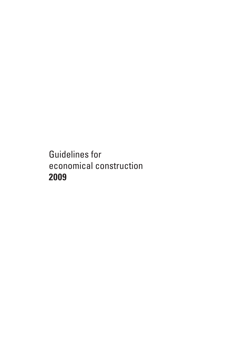Guidelines for economical construction **2009**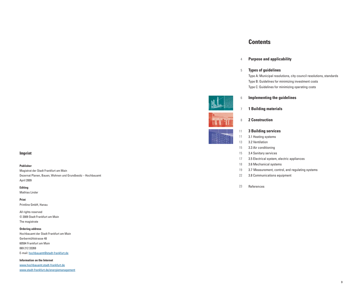# **Imprint**

#### **Publisher**

Magistrat der Stadt Frankfurt am Main Dezernat Planen, Bauen, Wohnen und Grundbesitz – Hochbauamt April 2009

**Editing**

Mathias Linder

**Print** Printline GmbH, Hanau

All rights reserved © 2009 Stadt Frankfurt am Main The magistrate

**Ordering address**

Hochbauamt der Stadt Frankfurt am Main Gerbermühlstrasse 48 60594 Frankfurt am Main 069 212 33269 E-mail: hochbauamt@stadt-frankfurt.de

**Information on the Internet** www.hochbauamt.stadt-frankfurt.de www.stadt-frankfurt.de/energiemanagement

# **Contents**

#### **Purpose and applicability** 4

#### **Types of guidelines** 5

Type A: Municipal resolutions, city council resolutions, standards Type B: Guidelines for minimizing investment costs Type C: Guidelines for minimizing operating costs

#### **Implementing the guidelines** 6

- **1 Building materials** 7
	- **2 Construction**

#### **3 Building services** 11

- 3.1 Heating systems 11
- 3.2 Ventilation 13

8

- 3.3 Air conditioning 15
- 3.4 Sanitary services 15
- 3.5 Electrical system, electric appliances 17
- 3.6 Mechanical systems 18
- 3.7 Measurement, control, and regulating systems 19
- 3.8 Communications equipment 22
- References 23



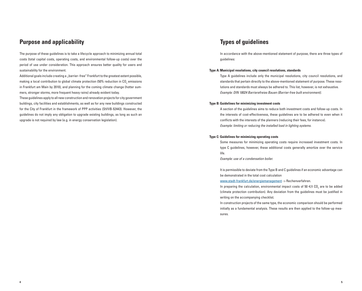# **Purpose and applicability**

The purpose of these guidelines is to take a lifecycle approach to minimizing annual total costs (total capital costs, operating costs, and environmental follow-up costs) over the period of use under consideration. This approach ensures better quality for users and sustainability for the environment.

Additional goals include creating a "barrier–free" Frankfurt to the greatest extent possible, making a local contribution to global climate protection (50% reduction in CO $_{\textrm{\tiny{2}}}$  emissions in Frankfurt am Main by 2010), and planning for the coming climate change (hotter summers, stronger storms, more frequent heavy rains) already evident today.

These guidelines apply to all new construction and renovation projects for city government buildings, city facilities and establishments, as well as for any new buildings constructed for the City of Frankfurt in the framework of PPP activities (StVVB-§2443). However, the guidelines do not imply any obligation to upgrade existing buildings, as long as such an upgrade is not required by law (e.g. in energy conservation legislation).

# **Types of guidelines**

In accordance with the above-mentioned statement of purpose, there are three types of guidelines:

### **Type A: Municipal resolutions, city council resolutions, standards**

Type A guidelines include only the municipal resolutions, city council resolutions, and standards that pertain directly to the above-mentioned statement of purpose. These resolutions and standards must always be adhered to. This list, however, is not exhaustive. Example: DIN 18024 Barrierefreies Bauen (Barrier-free built environment).

#### **Type B: Guidelines for minimizing investment costs**

A section of the guidelines aims to reduce both investment costs and follow-up costs. In the interests of cost-effectiveness, these guidelines are to be adhered to even when it conflicts with the interests of the planners (reducing their fees, for instance). Example: limiting or reducing the installed load in lighting systems.

### **Type C: Guidelines for minimizing operating costs**

Some measures for minimizing operating costs require increased investment costs. In type C guidelines, however, these additional costs generally amortize over the service life.

Example: use of a condensation boiler.

It is permissible to deviate from the Type B and C guidelines if an economic advantage can be demonstrated in the total cost calculation

www.stadt-frankfurt.de/energiemanagement -> Rechenverfahren.

In preparing the calculation, environmental impact costs of 50  $\in$ /t CO<sub>2</sub> are to be added (climate protection contribution). Any deviation from the guidelines must be justified in writing on the accompanying checklist.

In construction projects of the same type, the economic comparison should be performed initially as a fundamental analysis. These results are then applied to the follow-up measures.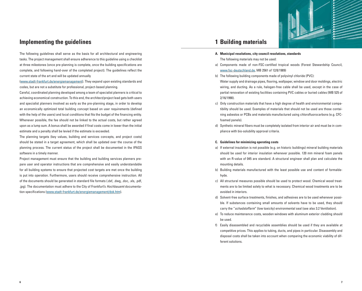

# **Implementing the guidelines**

The following guidelines shall serve as the basis for all architectural and engineering tasks. The project management shall ensure adherence to this guideline using a checklist at three milestones (once pre-planning is complete, once the building specifications are complete, and following hand-over of the completed project). The guidelines reflect the current state of the art and will be updated annually

(www.stadt-frankfurt.de/energiemanagement). They expand upon existing standards and codes, but are not a substitute for professional, project-based planning.

Careful, coordinated planning developed among a team of specialist planners is critical to achieving economical construction. To this end, the architect/project lead gets both users and specialist planners involved as early as the pre-planning stage, in order to develop an economically optimized total building concept based on user requirements (defined with the help of the users) and local conditions that fits the budget of the financing entity. Whenever possible, the fee should not be linked to the actual costs, but rather agreed upon as a lump sum. A bonus shall be awarded if final costs come in lower than the initial estimate and a penalty shall be levied if the estimate is exceeded.

The planning targets (key values, building and services concepts, and project costs) should be stated in a target agreement, which shall be updated over the course of the planning process. The current status of the project shall be documented in the IPASS software in a timely manner.

Project management must ensure that the building and building services planners prepare user and operator instructions that are comprehensive and easily understandable for all building systems to ensure that projected cost targets are met once the building is put into operation. Furthermore, users should receive comprehensive instruction. All of the documents should be generated in standard file formats (.dxf, .dwg, .doc, .xls, .pdf, .jpg). The documentation must adhere to the City of Frankfurt's Hochbauamt documentation specifications (www.stadt-frankfurt.de/energiemanagement/dok.htm).

# **1 Building materials**

- **A. Municipal resolutions, city council resolutions, standards** The following materials may not be used:
- a) Components made of non-FSC-certified tropical woods (Forest Stewardship Council, www.fsc-deutschland.de, MB 2561 of 12/8/1989)
- b) The following building components made of polyvinyl chloride (PVC): Water supply and drainage pipes, flooring, wallpaper, window and door moldings, electric wiring, and ducting. As a rule, halogen-free cable shall be used, except in the case of partial renovation of existing facilities containing PVC cables or buried cables (MB 525 of 2/16/1990).
- c) Only construction materials that have a high degree of health and environmental compatibility should be used. Examples of materials that should not be used are those containing asbestos or PCBs and materials manufactured using chlorofluorocarbons (e.g. CFCfoamed panels).
- d) Synthetic mineral fibers must be completely isolated from interior air and must be in compliance with bio-solubility approval criteria.

# **C. Guidelines for minimizing operating costs**

- a) If external insulation is not possible (e.g. on historic buildings) mineral building materials should be used for interior insulation whenever possible. 120 mm mineral foam panels with an R-value of 045 are standard. A structural engineer shall plan and calculate the mounting details.
- b) Building materials manufactured with the least possible use and content of formaldehyde.
- c) All structural measures possible should be used to protect wood. Chemical wood treatments are to be limited solely to what is necessary. Chemical wood treatments are to be avoided in interiors.
- d) Solvent-free surface treatments, finishes, and adhesives are to be used whenever possible. If substances containing small amounts of solvents have to be used, they should carry the "schadstoffarm" (low toxicity) environmental seal (see also 3.2 Ventilation).
- e) To reduce maintenance costs, wooden windows with aluminum exterior cladding should be used.
- f) Easily disassembled and recyclable assemblies should be used if they are available at competitive prices. This applies to tubing, ducts, and pipes in particular. Disassembly and disposal costs shall be taken into account when comparing the economic viability of different solutions.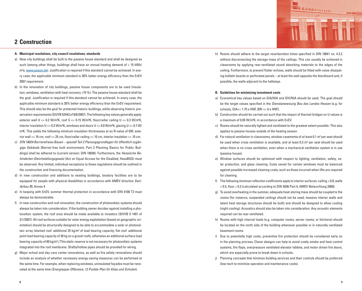

# **2 Construction**

# **A. Municipal resolutions, city council resolutions, standards**

- a) New city buildings shall be built to the passive house standard and shall be designed as such (among other things, buildings shall have an annual heating demand of < 15 kWh/ m²a, www.passiv.de). Justification is required if this standard cannot be achieved. In every case, the applicable minimum standard is 30% better energy efficiency than the EnEV 2007 requirement.
- b) In the renovation of city buildings, passive house components are to be used (insulation, windows, ventilation with heat recovery >75 %). The passive house standard shall be the goal. Justification is required if this standard cannot be achieved. In every case, the applic able minimum standard is 30% better energy efficiency than the EnEV requirement. This should also be the goal for protected historic buildings, while observing historic preservation requirements (StVVB §2443 of 9/6/2007). The following key values generally apply: exterior wall U <= 0.2 W/m²K, roof U <= 0.15 W/m²K, floor/cellar ceiling U <= 0.3 W/m²K, interior insulation U  $\lt$  = 0.3 W/m<sup>2</sup>K, windows and doors U  $\lt$  = 0.8 W/m<sup>2</sup>K, glazing U  $\lt$  = 0.7 W/ m²K. This yields the following minimum insulation thicknesses at an R-value of 035: exterior wall >= 16 cm, roof >= 25 cm, floor/cellar ceiling >= 10 cm, interior insulation >= 10 cm.
- c) DIN 18024 Barrierefreies Bauen speziell Teil 2 Planungsgrundlagen für öffentlich zugängige Gebäude (Barrier-free built environment, Part 2 Planning Basics for Public Buildings) shall be adhered to (current version: DIN 18030). Furthermore, the Hessische Behinderten-Gleichstellungsgesetz (Act on Equal Access for the Disabled, HessBGG) must be observed. Any limited, individual exceptions to these regulations should be outlined in the construction and financing documentation.
- d) In new construction and additions to existing buildings, lavatory facilities are to be equipped for people with physical disabilities in accordance with AMEV directive Sanitärbau 95, Annex 4.
- e) In keeping with EnEV, summer thermal protection in accordance with DIN 4108 T2 must always be demonstrable.
- f) In new construction and roof renovation, the construction of photovoltaic systems should always be taken into consideration. If the building owner decides against installing a photovoltaic system, the roof area should be made available to investors (StVVB § 1491 of 3/1/2007). All roof surfaces suitable for solar energy exploitation (based on geographic orientation) should be structurally designed to be able to accommodate a solar or photovoltaic array (slanted roof: additional 25 kg/m² of load bearing capacity, flat roof: additional point load bearing capacity of 30 kg on a gravel roofs, otherwise an additional surface load bearing capacity of 60 kg/m².) This static reserve is not necessary for photovoltaic systems integrated into the roof membrane. Shafts/hollow pipes should be provided for wiring.
- g) Major school and day care center renovations, as well as fire safety renovations should include an analysis of whether necessary energy-saving measures can be performed at the same time. For example, when replacing windows, uninsulated façades must be renovated at the same time (Energiespar-Offensive, 12 Punkte-Plan für Kitas und Schulen).

h) Rooms should adhere to the target reverberation times specified in DIN 18041 no. 4.3.2 without disconnecting the storage mass of the ceilings. This can usually be achieved in classrooms by applying rear-ventilated sound absorbing materials to the edges of the ceiling. Furthermore, to prevent flutter echoes, walls should be fitted with noise-dissipating bulletin boards or perforated panels – at least the wall opposite the blackboard and, if possible, the walls adjacent to the hallways.

# **B. Guidelines for minimizing investment costs**

- a) Economical key values based on GIA/NIA and GIV/NIA should be used. The goal should be the target values specified in the Dienstanweisung Bau des Landes Hessen (e.g. for schools,  $GIA \le 1.75$  x HNF, BRI  $\le 6$  x HNF).
- b) Construction should be carried out such that the impact of thermal bridges on U values is a maximum of 0.05 W/m²K, in accordance with EnEV.
- c) Rooms should be naturally lighted and ventilated to the greatest extent possible. This also applies to passive houses outside of the heating season.
- d) For natural ventilation in classrooms, window casements of at least  $0.1$  m<sup>2</sup> per seat should be used when cross ventilation is available, and at least 0.3 m² per seat should be used when there is no cross ventilation, even when a mechanical ventilation system is in use (passive house).
- e) Window surfaces should be optimized with respect to lighting, ventilation, safety, solar protection, and glass cleaning. Costs saved for certain windows must be balanced against possible increased cleaning costs, such as those incurred when lifts are required for cleaning.
- f) The following minimum reflection coefficients apply to interior surfaces: ceiling > 0.8, walls > 0.5, floor > 0.3 (calculated according to DIN 5036 Part 4, AMEV-Beleuchtung 2000).
- g) To avoid overheating in the summer, adequate heat-storing mass should be coupled to the rooms (for instance, suspended ceilings should not be used, massive interior walls and latent heat storage structures should be built) and should be designed to allow cooling (night cooling). Acoustics should also be taken into consideration. Any acoustic elements required can be rear-ventilated.
- h) Rooms with high internal loads (e.g. computer rooms, server rooms, or kitchens) should be located on the north side of the building whenever possible or in naturally ventilated basement rooms.
- i) Due to potentially high costs, preventive fire protection should be considered early on in the planning process. Clever designs can help to avoid costly smoke and heat control systems, fire flaps, overpressure ventilated elevator lobbies, and motor driven fire doors, which are especially prone to break down in schools.
- j) Planning concepts that minimize building services and their controls should be preferred (low-tech to minimize operation and maintenance costs).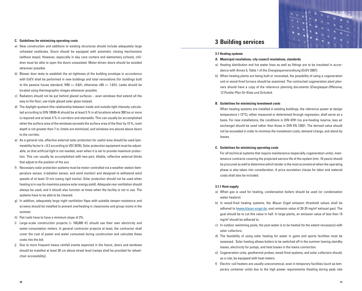### **C. Guidelines for minimizing operating costs**

- a) New construction and additions to existing structures should include adequately large unheated vestibules. Doors should be equipped with automatic closing mechanisms (without stops). However, especially in day care centers and elementary schools, children must be able to open the doors unassisted. Motor-driven doors should be avoided wherever possible.
- b) Blower door tests to establish the air-tightness of the building envelope in accordance with EnEV shall be performed in new buildings and total renovations (for buildings built to the passive house standard,  $N50 \le 0.6/h$ , otherwise n50  $\le 1.0/h$ ). Leaks should be located using thermographic images whenever possible.
- c) Radiators should not be put behind glazed surfaces even windows that extend all the way to the floor; use triple glazed solar glass instead.
- d) The daylight quotient (the relationship between inside and outside light intensity calculated according to DIN 18599-4) should be at least 5 % in all locations where 300 lux or more is required and at least 3 % in corridors and stairwells. This can usually be accomplished when the surface area of the windows exceeds the surface area of the floor by 15 %, room depth is not greater than 7 m, lintels are minimized, and windows are placed above doors to the corridor.
- e) As a general rule, effective external solar protection for useful area should be used (permeability factor b < 0.2 according to VDI 2078). Solar protection equipment must be adjustable, so that artificial light is not needed, even when it is set to provide maximum protection. This can usually be accomplished with two-part, tiltable, reflective external blinds that adjust to the position of the sun.
- f) Necessary solar protection systems must be motor-controlled via a weather station (temperature sensor, irradiation sensor, and wind monitor) and designed to withstand wind speeds of at least 13 m/s (using rigid tracks). Solar protection should not be used when heating is in use (to maximize passive solar energy yield). Adequate rear ventilation should always be used, and it should also function at times when the facility is not in use. The systems have to be able to be cleaned.
- g) In addition, adequately large night ventilation flaps with suitable tamper-resistance and screens should be installed to prevent overheating in classrooms and group rooms in the summer.
- h) Flat roofs have to have a minimum slope of 2%.
- i) Large-scale construction projects (> 100,000 €) should use their own electricity and water-consumption meters. In general contractor projects at least, the contractor shall cover the cost of power and water consumed during construction and calculate these costs into the bid.
- j) Due to more frequent heavy rainfall events expected in the future, doors and windows should be installed at least 20 cm above street level (ramps shall be provided for wheelchair accessibility).

# **3 Building services**

#### **3.1 Heating systems**

#### **A. Municipal resolutions, city council resolutions, standards**

- a) Heating distribution and hot water lines as well as fittings are to be insulated in accordance with Annex 5, Table 1 of the Energiesparverordnung (EnEV 2007).
- b) When heating plants are being built or renovated, the possibility of using a cogeneration unit or wood-fired furnace should be examined. The contracted cogeneration plant planners should have a copy of the reference planning documents (Energiespar-Offensive, 12 Punkte-Plan für Kitas und Schulen).

### **B. Guidelines for minimizing investment costs**

When heating systems are installed in existing buildings, the reference power at design temperature (-12°C), either measured or determined through regression, shall serve as a basis. For new installations, the conditions in DIN 4701 (no pre-heating reserve, less air exchange) should be used rather than those in DIN EN 12831. The derived value should not be exceeded in order to minimize the investment costs, demand charge, and stand-by losses.

## **C. Guidelines for minimizing operating costs**

For all technical systems that require maintenance (especially cogeneration units), maintenance contracts covering the projected service life of the system (min. 10 years) should be procured as well to determine which tender is the most economical when the operating phase is also taken into consideration. A price escalation clause for labor and material costs shall also be included.

## **3.1.1 Heat supply**

- a) When gas is used for heating, condensation boilers should be used (or condensation water heaters).
- b) In wood-fired heating systems, the *Blauer Engel* emission threshold values shall be adhered to (www.blauer-engel.de, soot emission value of  $20-25$  mg/m<sup>3</sup> exhaust gas). The goal should be to cut this value in half. In large plants, an emission value of less than 15 mg/m<sup>3</sup> should be adhered to.
- c) In outdoor swimming pools, the pool water is to be heated (to the extent necessary) with solar collectors.
- d) The feasibility of using solar heating for water in gyms and sports facilities must be assessed. Solar heating allows boilers to be switched off in the summer (saving standby losses, electricity for pumps, and heat losses in the mains connection.
- e) Cogeneration units, geothermal probes, wood-fired systems, and solar collectors should, as a rule, be equipped with heat meters.
- f) Electric coil heaters are usually uneconomical, even in temporary facilities (such as temporary container units) due to the high power requirements (heating during peak rate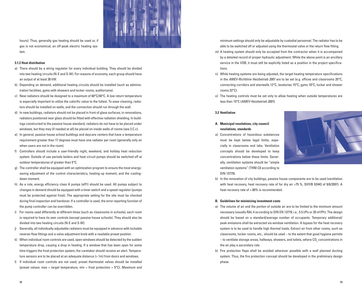

hours). Thus, generally gas heating should be used or, if gas is not economical, an off-peak electric heating system.

## **3.1.2 Heat distribution**

- a) There should be a string regulator for every individual building. They should be divided into two heating circuits (N-E and S-W). For reasons of economy, each group should have an output of at least 30 kW.
- b) Depending on demand, additional heating circuits should be installed (such as administration facilities, gyms with showers and locker rooms, auditoriums).
- c) New radiators should be designed to a maximum of  $60^{\circ}C/40^{\circ}C$ . A low return temperature is especially important to utilize the calorific value to the fullest. To ease cleaning, radiators should be installed on walls, and the connection should run through the wall.
- d) In new buildings, radiators should not be placed in front of glass surfaces; in renovations, radiators positioned near glass should be fitted with effective radiation shielding. In buildings constructed to the passive house standard, radiators do not have to be placed under windows, but they may (if needed at all) be placed on inside walls of rooms (see 2.C.c).
- e) In general, passive house school buildings and daycare centers that have a temperature requirement greater than 17 degrees must have one radiator per room (generally only on when users are not in the room).
- f) Controllers should include a user-friendly night, weekend, and holiday heat reduction system. Outside of use periods boilers and heat circuit pumps should be switched off at outdoor temperatures of greater than 5°C.
- g) The controller shall be equipped with an optimization program to ensure the most energysaving adjustment of the control characteristics, heating-up moment, and the coolingdown moment.
- h) As a rule, energy efficiency class A pumps (eff1) should be used. All pumps subject to changes in demand should be equipped with a timer switch and a speed regulator (pumps must be protected against frost). The appropriate setting for the site must be checked during final inspection and handover. If a controller is used, the error reporting function of the pump controller can be overridden.
- i) For rooms used differently at different times (such as classrooms in schools), each room is required to have its own controls (except passive house schools). They should also be divided into two heating circuits (N-E and S-W).
- j) Generally, all individually adjustable radiators must be equipped in advance with lockable reverse-flow fittings and a valve adjustment knob with a readable preset position.
- k) When individual room controls are used, open windows should be detected by the sudden temperature drop, causing a drop in heating. If a window that has been open for some time triggers the frost protection system, the caretaker should receive an alert. Temperature sensors are to be placed at an adequate distance (> 1m) from doors and windows.
- l) If individual room controls are not used, preset thermostat valves should be installed (preset values: max = target temperature, min = frost protection =  $5^{\circ}$ C). Maximum and

minimum settings should only be adjustable by custodial personnel. The radiator has to be able to be switched off or adjusted using the thermostat valve or the return flow fitting.

- m) A heating system should only be accepted from the contractor when it is accompanied by a detailed record of proper hydraulic adjustment. While the above point is an ancillary service in the VOB, it must still be explicitly listed as a position in the project specifications.
- n) While heating systems are being adjusted, the target heating temperature specifications in the AMEV-Richtlinie Heizbetrieb 2001 are to be set (e.g. offices and classrooms 20°C, connecting corridors and stairwells 12°C, lavatories 15°C, gyms 18°C, locker and shower rooms 22°C).
- o) The heating controls must be set only to allow heating when outside temperatures are less than 15°C (AMEV-Heizbetrieb 2001).

# **3.2 Ventilation**

- **A. Municipal resolutions, city council resolutions, standards**
- a) Concentrations of hazardous substances must be kept below legal limits, especially in classrooms and labs. Ventilation concepts should be developed to keep concentrations below these limits. Generally, ventilation systems should be "simple ventilation systems" (THM-C0 according to DIN 13779).



b) In the renovation of city buildings, passive house components are to be used (ventilation with heat recovery, heat recovery rate of for dry air >75 %, StVVB §2443 of 9/6/2007). A heat recovery rate of > 80% is recommended.

### **B. Guidelines for minimizing investment costs**

- a) The volume of air and the portion of outside air are to be limited to the minimum amount necessary (usually RAL 4 according to DIN EN 13779; i.e., 5.5 l/Ps or 20 m<sup>3</sup>/Ph). The design should be based on a standard/average number of occupants. Temporary additional/ peak emissions shall be extracted via window ventilation. A bypass for the heat recovery system is to be used to handle high thermal loads. Extract air from other rooms, such as classrooms, locker rooms, etc., should be used – to the extent that good hygiene permits – to ventilate storage areas, hallways, showers, and toilets, where CO $_{\rm 2}$  concentrations in the air play a secondary role.
- b) Fire protection flaps shall be avoided wherever possible with a well planned ducting system. Thus, the fire protection concept should be developed in the preliminary design phase.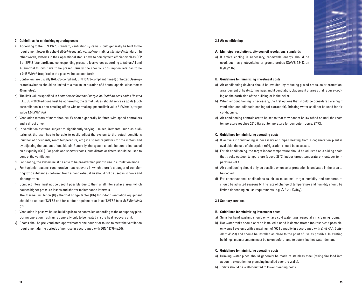## **C. Guidelines for minimizing operating costs**

- a) According to the DIN 13779 standard, ventilation systems should generally be built to the requirement lower threshold *üblich* (requiar), *normal* (normal), or *standard* (standard). In other words, systems in their operational status have to comply with efficiency class SFP 1 or SFP 2 (standard), and corresponding pressure loss values according to tables A4 and A5 (normal to low) have to be preset. Usually, the specific consumption rate has to be < 0.45 Wh/m³ (required in the passive house standard).
- b) Controllers are usually RAL-C3-compliant, DIN 13779-compliant (timed) or better. User-operated switches should be limited to a maximum duration of 3 hours (special classrooms: 45 minutes).
- c) The limit values specified in Leitfaden elektrische Energie im Hochbau des Landes Hessen (LEE, July 2000 edition) must be adhered to; the target values should serve as goals (such as ventilation in a non-smoking office with normal equipment; limit value 3 kWh/m<sup>2</sup>a, target value 1.5 kWh/m<sup>2</sup>a).
- d) Ventilation motors of more than 200 W should generally be fitted with speed controllers and a direct drive.
- e) In ventilation systems subject to significantly varying use requirements (such as auditoriums), the user has to be able to easily adjust the system to the actual conditions (number of occupants, room temperature, etc.) via speed regulators for the motors and by adjusting the amount of outside air. Generally, the system should be controlled based on air quality (CO<sub>2</sub>). For pools and shower rooms, humidistats or timers should be used to control the ventilation.
- f) For heating, the system must be able to be pre-warmed prior to use in circulation mode.
- g) For hygienic reasons, regenerative heat recovery in which there is a danger of transferring toxic substances between fresh air and exhaust air should not be used in schools and kindergartens.
- h) Compact filters must not be used if possible due to their small filter surface area, which causes higher pressure losses and shorter maintenance intervals.
- i) The thermal insulation [U] / thermal bridge factor [Kb] for indoor ventilation equipment should be at least T3/TB3 and for outdoor equipment at least T2/TB2 (see RLT Richtlinie 01).
- j) Ventilation in passive house buildings is to be controlled according to the occupancy plan. During operation fresh air is generally only to be heated via the heat recovery unit.
- k) Rooms shall be pre-ventilated approximately one hour prior to use to meet the ventilation requirement during periods of non-use in accordance with DIN 13779 (p.20).

### **3.3 Air conditioning**

#### **A. Municipal resolutions, city council resolutions, standards**

a) If active cooling is necessary, renewable energy should be used, such as photovoltaics or ground probes (StVVB §2443 on 09/06/2007).



#### **B. Guidelines for minimizing investment costs**

- a) Air conditioning devices should be avoided (by reducing glazed areas, solar protection, arrangement of heat-storing mass, night ventilation, placement of areas that require cooling on the north side of the building or in the cellar.
- b) When air conditioning is necessary, the first options that should be considered are night ventilation and adiabatic cooling (of extract air). Drinking water shall not be used for air conditioning.
- c) Air conditioning controls are to be set so that they cannot be switched on until the room temperature reaches 26°C (target temperature for computer rooms: 27°C).

#### **C. Guidelines for minimizing operating costs**

- a) If active air conditioning is necessary and piped heating from a cogeneration plant is available, the use of absorption refrigeration should be assessed.
- b) For air conditioning, the target indoor temperature should be adjusted on a sliding scale that tracks outdoor temperature (above 29°C: indoor target temperature = outdoor temperature – 3 K).
- c) Air conditioning should only be possible when solar protection is activated in the area to be cooled.
- d) For conservational applications (such as museums) target humidity and temperature should be adjusted seasonally. The rate of change of temperature and humidity should be limited depending on use requirements (e.g.  $\Delta$  F < 1 %/day).

#### **3.4 Sanitary services**

### **B. Guidelines for minimizing investment costs**

- a) Sinks for hand washing should only have cold water taps, especially in cleaning rooms.
- b) Hot water tanks should only be installed if need is demonstrated (no reserve; if possible, only small systems with a maximum of 400 I capacity in accordance with DVGW-Arbeitsblatt  $W$  551) and should be installed as close to the point of use as possible. In existing buildings, measurements must be taken beforehand to determine hot water demand.

#### **C. Guidelines for minimizing operating costs**

- a) Drinking water pipes should generally be made of stainless steel (taking fire load into account, exception for plumbing installed over the walls).
- b) Toilets should be wall-mounted to lower cleaning costs.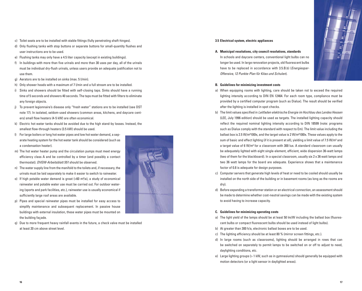- c) Toilet seats are to be installed with stable fittings (fully penetrating shaft-hinges).
- d) Only flushing tanks with stop buttons or separate buttons for small-quantity flushes and user instructions are to be used.
- e) Flushing tanks may only have a 4.5 liter capacity (except in existing buildings).
- f) In buildings with more than five urinals and more than 30 uses per day, all of the urinals must be individual dry-flush urinals, unless users provide an adequate justification not to use them.
- g) Aerators are to be installed on sinks (max. 5 l/min).
- h) Only shower heads with a maximum of 7 l/min and a full stream are to be installed.
- i) Sinks and showers should be fitted with self-closing taps. Sinks should have a running time of 5 seconds and showers 40 seconds. The taps must be fitted with filters to eliminate any foreign objects.
- j) To prevent legionnaire's disease only "fresh water" stations are to be installed (see DST note 17). In isolated, seldom-used showers (common areas, kitchens, and daycare centers) small flow heaters (4-5 kW) are often economical.
- k) Electric hot water tanks should be avoided due to the high stand-by losses. Instead, the smallest flow-through heaters (3.5 kW) should be used.
- l) For large boilers or long hot water pipes and low hot water demand, a separate heating system for the hot water tank should be considered (such as a condensation heater).
- m) The hot water heater pump and the circulation pumps must meet energy efficiency class A and be controlled by a timer (and possibly a contact thermostat). DVGW-Arbeitsblatt 551 should be observed.
- n) The water supply line from the manifold to the toilets and, if necessary, the urinals must be laid separately to make it easier to switch to rainwater.
- o) If high potable water demand is great  $(560 \text{ m}^3/\text{a})$ , a study of economical rainwater and potable water use must be carried out. For outdoor watering (sports and park facilities, etc.), rainwater use is usually economical if sufficiently large roof areas are available.
- p) Pipes and special rainwater pipes must be installed for easy access to simplify maintenance and subsequent replacement. In passive house buildings with external insulation, these water pipes must be mounted on the building façade.
- q) Due to more frequent heavy rainfall events in the future, a check valve must be installed at least 20 cm above street level.



### **3.5 Electrical system, electric appliances**

**A. Municipal resolutions, city council resolutions, standards** In schools and daycare centers, conventional light bulbs can no longer be used. In large renovation projects, old fluorescent bulbs have to be replaced in accordance with 3.5.B.b) (*Energiespar-*Offensive, 12 Punkte-Plan für Kitas und Schulen).



# **B. Guidelines for minimizing investment costs**

- a) When equipping rooms with lighting, care should be taken not to exceed the required lighting intensity according to DIN EN 12464. For each room type, compliance must be provided by a certified computer program (such as Dialux). The result should be verified after the lighting is installed in spot checks.
- b) The limit values specified in Leitfaden elektrische Energie im Hochbau des Landes Hessen (LEE, July 1996 edition) should be used as targets. The installed lighting capacity should reflect the required nominal lighting intensity according to DIN 18599 (note: programs such as Dialux comply with the standard with respect to Em). The limit value including the ballast box is 2.5 W/m²100lx, and the target value is 2 W/m²100lx. These values apply to the sum of basic and effect lighting (if it is present at all), yielding a limit value of 7.5 W/m<sup>2</sup> and a target value of 6 W/m² for a classroom with 300 lux. A standard classroom can usually be adequately lighted with eight single-element, efficient, wide dispersion 36-watt lamps (two of them for the blackboard). In a special classroom, usually six 2 x 36 watt lamps and two 36 watt lamps for the board are adequate. Experience shows that a maintenance factor of 0.8 is adequate for design purposes.
- c) Computer servers that generate high levels of heat or need to be cooled should usually be installed on the north side of the building or in basement rooms (as long as the rooms are dry).
- d) Before expanding a transformer station or an electrical connection, an assessment should be made to determine whether cost-neutral savings can be made with the existing system to avoid having to increase capacity.

# **C. Guidelines for minimizing operating costs**

- a) The light yield of the lamps should be at least 50 lm/W including the ballast box (fluorescent bulbs or compact fluorescent bulbs should be used instead of light bulbs).
- b) At greater than 300 h/a, electronic ballast boxes are to be used.
- c) The lighting efficiency should be at least 80 % (mirror screen fittings, etc.).
- d) In large rooms (such as classrooms), lighting should be arranged in rows that can be switched on separately to permit lamps to be switched on or off to adjust to need, daylighting conditions, etc.
- e) Large lighting groups (> 1 kW, such as in gymnasiums) should generally be equipped with motion detectors (or a light sensor in daylighted areas).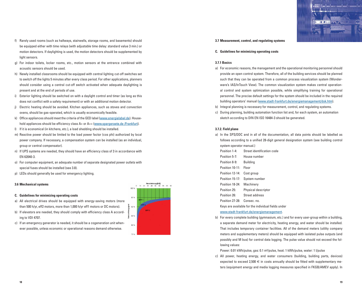- f) Rarely used rooms (such as hallways, stairwells, storage rooms, and basements) should be equipped either with time relays (with adjustable time delay: standard value 3 min.) or motion detectors. If daylighting is used, the motion detectors should be supplemented by light sensors.
- g) For indoor toilets, locker rooms, etc., motion sensors at the entrance combined with acoustic sensors should be used.
- h) Newly installed classrooms should be equipped with central lighting cut-off switches set to switch off the lights 5 minutes after every class period. For other applications, planners should consider using a central cut-off switch activated when adequate daylighting is present and at the end of periods of use.
- i) Exterior lighting should be switched on with a daylight control and timer (as long as this does not conflict with a safety requirement) or with an additional motion detector.
- j) Electric heating should be avoided. Kitchen appliances, such as stoves and convection ovens, should be gas-operated, which is usually economically feasible.
- k) Office appliances should meet the criteria of the GED label (www.energielabel.de). Household appliances should be efficiency class A+ or A++ (www.spargeraete.de /Frankfurt).
- l) If it is economical (in kitchens, etc.), a load shedding should be installed.
- m) Reactive power should be limited to the load power factor (cos phi) authorized by local power company. If necessary, a compensation system can be installed (as an individual, group or central compensator).
- n) If UPS systems are needed, they should have an efficiency class of 3 in accordance with EN 62040-3.
- o) For computer equipment, an adequate number of separate designated power outlets with special fuses should be installed (see 3.8).
- p) LEDs should generally be used for emergency lighting.

# **3.6 Mechanical systems**

- **C. Guidelines for minimizing operating costs**
- a) All electrical drives should be equipped with energy-saving motors (more than 500 h/yr, eff2 motors, more than 1,000 h/yr eff1 motors or DC motors).
- b) If elevators are needed, they should comply with efficiency class A according to VDI 4707.
- c) If an emergency generator is needed, it should be a cogeneration unit whenever possible, unless economic or operational reasons demand otherwise.



# **3.7 Measurement, control, and regulating systems**

**C. Guidelines for minimizing operating costs**

# **3.7.1 Basics**

a) For economic reasons, the management and the operational monitoring personnel should provide an open control system. Therefore, all of the building services should be planned such that they can be operated from a common process visualization system (Wonderware's IAS/InTouch View). The common visualization system makes central operational control and system optimization possible, while simplifying training for operational personnel. The precise default settings for the system should be included in the required building operators' manual (www.stadt-frankfurt.de/energiemanagement/dok.htm).

- 画 画 - 画

- b) Integral planning is necessary for measurement, control, and regulating systems.
- c) During planning, building automation function list and, for each system, an automation sketch according to DIN EN ISO 16484-3 should be generated.

# **3.7.2. Field plane**

- a) In the SPS/DDC and in all of the documentation, all data points should be labelled as follows according to a unified 28-digit general designation system (see building control system operator manual.)
	- Position 1-4: Street identification code
	- Position 5-7: House number
	- Position 8-9: Building
- Position 10-11: Floor
- Position 12-14: Cost group
- Position 15-17: System number
- Position 18-24: Machinery
- Position 25: Physical descriptor
- Position 26: Street address
- Position 27-28: Consec. no.
- Keys are available for the individual fields under

# www.stadt-frankfurt.de/energiemanagement.

b) For every complete building (gymnasium, etc.) and for every user-group within a building, a separate demand meter for electricity, heating energy, and water should be installed. That includes temporary container facilities. All of the demand meters (utility company meters and supplementary meters) should be equipped with isolated pulse outputs (and possibly and M bus) for central data logging. The pulse value should not exceed the following values:

Power: 0.01 kWh/pulse, gas: 0.1 m<sup>3</sup>/pulse, heat: 1 kWh/pulse, water: 1 l/pulse

c) All power, heating energy, and water consumers (building, building parts, devices) expected to exceed 2,500  $\in$  in costs annually should be fitted with supplementary meters (equipment energy and media logging measures specified in FKGB/AMEV apply). In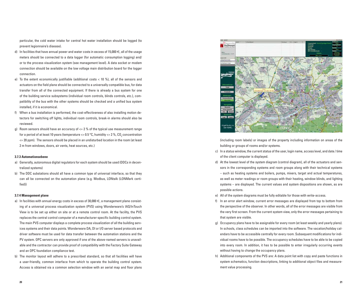particular, the cold water intake for central hot water installation should be logged (to prevent legionnaire's disease).

- d) In facilities that have annual power and water costs in excess of 15,000  $\in$ , all of the usage meters should be connected to a data logger (for automatic consumption logging) and/ or to the process visualization system (see management level). A data socket or modem connection should be available on the low voltage main distribution board for the logger connection.
- e) To the extent economically justifiable (additional costs < 10 %), all of the sensors and actuators on the field plane should be connected to a universally compatible bus, for data transfer from all of the connected equipment. If there is already a bus system for one of the building service subsystems (individual room controls, blinds controls, etc.), compatibility of the bus with the other systems should be checked and a unified bus system installed, if it is economical.
- f) When a bus installation is performed, the cost-effectiveness of also installing motion detectors for switching off lights, individual room controls, break-in alarms should also be reviewed.
- g) Room sensors should have an accuracy of  $\leq$  2 % of the typical use measurement range for a period of at least 10 years (temperature  $\leq 0.5$  °C, humidity  $\leq 2$  %, CO<sub>2</sub> concentration  $\epsilon$  = 20 ppm). The sensors should be placed in an undisturbed location in the room (at least 2 m from windows, doors, air vents, heat sources, etc.)

# **3.7.3 Automationsebene**

- a) Generally, autonomous digital regulators for each system should be used (DDCs in decentralized systems)
- b) The DDC substations should all have a common type of universal interface, so that they can all be connected on the automation plane (e.g. Modbus, LONtalk (LONMark certified))

#### **3.7.4 Management plane**

- a) In facilities with annual energy costs in excess of 30,000  $\epsilon$ , a management plane consisting of a universal process visualization system (PVS) using Wonderware's IAS/InTouch View is to be set up either on site or at a remote control room. At the facility, the PVS replaces the central control computer of a manufacturer-specific building control system. The main PVS computer displays a complete process visualization of all the building services systems and their data points. Wonderware DA, DI or I/O server based protocols and driver software must be used for data transfer between the automation stations and the PV system. OPC servers are only approved if one of the above-named servers is unavailable and the contractor can provide proof of compatibility with the Factory Suite Gateway and an OPC foundation compliance test.
- b) The monitor layout will adhere to a prescribed standard, so that all facilities will have a user-friendly, common interface from which to operate the building control system. Access is obtained via a common selection window with an aerial map and floor plans



(including room labels) or images of the property including information on areas of the building or groups of rooms and/or systems.

- c) In a status window, the current status of the user, login name, access level, and date / time of the client computer is displayed.
- d) At the lowest level of the system diagram (control diagram), all of the actuators and sensors in the corresponding systems and room groups along with their technical systems – such as heating systems and boilers, pumps, mixers, target and actual temperatures, as well as meter readings or room groups with their heating, window blinds, and lighting systems – are displayed. The current values and system dispositions are shown, as are possible actions.
- e) All of the system diagrams must be fully editable for those with write-access.
- f) In an error alert window, current error messages are displayed from top to bottom from the perspective of the observer. In other words, all of the error messages are visible from the very first screen. From the current system view, only the error messages pertaining to that system are visible.
- g) Occupancy plans have to be assignable for every room (at least weekly and yearly plans). In schools, class schedules can be imported into the software. The vacation/holiday calendars have to be accessible centrally for every room. Subsequent modifications for individual rooms have to be possible. The occupancy schedules have to be able to be copied into every room. In addition, it has to be possible to enter irregularly occurring events without having to change the occupancy plans.
- h) Additional components of the PVS are: A data point list with copy and paste functions in system schematics, function descriptions, linking to additional object files and measurement value processing.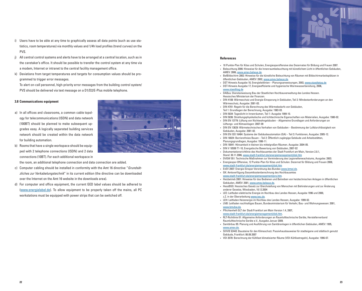- i) Users have to be able at any time to graphically assess all data points (such as use statistics, room temperatures) via monthly values and 1/4h load profiles (trend curves) on the PVS.
- j) All central control systems and alerts have to be arranged at a central location, such as in the caretaker's office. It should be possible to transfer the control system at any time via a modem, Internet or intranet to the central facility management office.
- k) Deviations from target temperatures and targets for consumption values should be programmed to trigger error messages.

To alert on-call personnel, high-priority error messages from the building control system/ PVS should be delivered via text message on a D1/D2/E-Plus mobile telephone.

# **3.8 Communications equipment**

a) In all offices and classrooms, a common cable topology for telecommunications (ISDN) and data network (100BT) should be planned to make subsequent upgrades easy. A logically separated building services network should be created within the data network for building automation.



- b) Rooms that have a single workspace should be equipp ed with 2 telephone connections (ISDN) and 2 data connections (10BT). For each additional workspace in the room, an additional telephone connection and data connection are added.
- c) Computer cabling should be installed in conformity with the Amt 16 directive "Grundsätzliches zur Verkabelungstechnik" in its current edition (the directive can be downloaded over the Internet on the Amt 16 website in the downloads area).
- d) For computer and office equipment, the current GED label values should be adhered to (www.energielabel.de). To allow equipment to be properly taken off the mains, all PC workstations must be equipped with power strips that can be switched off.

# **References**

- **·** 10 Punkte-Plan für Kitas und Schulen, Energiesparoffensive des Dezernates für Bildung und Frauen 2007.
- **·** Beleuchtung 2006: Hinweise für die Innenraumbeleuchtung mit künstlichem Licht in öffentlichen Gebäuden, AMEV: 2006, www.amev.belwue.de.
- **·** BelBildschirm 2002: Hinweise für die künstliche Beleuchtung von Räumen mit Bildschirmarbeitsplätzen in öffentlichen Gebäuden, AMEV: 2002, www.amev.belwue.de.
- **·** DST Hinweis Ausgabe 10, Energieleitlinien Planungsanweisungen, 2003, www.staedtetag.de
- **·** DST-Hinweis Ausgabe 17, Energieeffiziente und hygienische Warmwasserbereitung, 2006, www.staedttag.de
- **·** DABau: Dienstanweisung Bau der Staatlichen Hochbauverwaltung des Landes Hessen. Hessisches Ministerium der Finanzen.
- **·** DIN 4108: Wärmeschutz und Energie-Einsparung in Gebäuden, Teil 2: Mindestanforderungen an den Wärmeschutz, Ausgabe: 2001-03.
- **·** DIN 4701: Regeln für die Berechnung des Wärmebedarfs von Gebäuden, Teil 1: Grundlagen der Berechnung, Ausgabe: 1983-03.
- **·** DIN 5034: Tageslicht in Innenräumen, Teil 1: Ausgabe 1999-10.
- **·** DIN 5036: Strahlungsphysikalische und lichttechnische Eigenschaften von Materialien, Ausgabe: 1980-02.
- **·** DIN EN 13779: Lüftung von Nichtwohngebäuden Allgemeine Grundlagen und Anforderungen an Lüftungs- und Klimaanlagen: 2007-09
- **·** DIN EN 13829: Wärmetechnisches Verhalten von Gebäuden Bestimmung der Luftdurchlässigkeit von Gebäuden, Ausgabe: 2001-02.
- **·** DIN EN ISO 16484: Systeme der Gebäudeautomation (GA) Teil 3: Funktionen, Ausgabe: 2005-12.
- **·** DIN 18024: Barrierefreies Bauen Teil 2: Öffentlich zugängige Gebäude und Arbeitsstätten, Planungsgrundlagen, Ausgabe: 1996-11.
- **·** DIN 18041: Hörsamkeit in kleinen bis mittelgroßen Räumen. Ausgabe: 2004-05.
- **·** DIN V 18599 T1-10, Energetische Bewertung von Gebäuden, 2007-02
- **·** Dokumentationsrichtlinie des Hochbauamtes der Stadt Frankfurt am Main, Version 2.0.1, Stand: 30.11.2006, www.stadt-frankfurt.de/energiemanagement/dok.htm
- **·** DVGW 551: Technische Maßnahmen zur Verminderung des Legionellenwachstums, Ausgabe: 2003.
- **·** Energiespar-Offensive, 12 Punkte-Plan für Kitas und Schulen. Dezernat für Bildung und Frauen 2008, www.stadt-frankfurt.de/energiemanagement/dok.htm
- **·** EnEV 2007: Energie-Einspar-Verordnung des Bundes www.bmwi.de.
- **·** GK: Amtsverfügung Gesamtkostenberechnung des Hochbauamtes www.stadt-frankfurt.de/energiemanagement/pro.htm.
- **·** Heizbetrieb 2001: Hinweise für das Bedienen und Betreiben von heiztechnischen Anlagen in öffentlichen Gebäuden, AMEV: 2001, www.amev.belwue.de.
- **·** HessBGG: Hessisches Gesetz zur Gleichstellung von Menschen mit Behinderungen und zur Änderung anderer Gesetze, Wiesbaden, 10.12.2004
- **·** LEE: Leitfaden elektrische Energie im Hochbau des Landes Hessen, Ausgabe 1996 und 2000, z.Z. in der Überarbeitung www.iwu.de.
- **·** LEH: Leitfaden Heizenergie im Hochbau des Landes Hessen, Ausgabe: 1999-02.
- **·** LNB: Leitfaden nachhaltiges Bauen, Bundesministerium für Verkehr, Bau- und Wohnungswesen: 2001, www.bmvbw.de.
- **·** Pflichtenheft GLT der Stadt Frankfurt am Main Version 1.4, 2007, www.stadt-frankfurt.de/energiemanagement/dok.htm.
- **·** RLT-Richtlinie 01: Allgemeine Anforderungen an Raumlufttechnische Geräte, Herstellerverband Raumlufttechnische Geräte e.V., Ausgabe Januar 2009.
- **·** Sanitärbau 95: Planung und Ausführung von Sanitäranlagen in öffentlichen Gebäuden, AMEV: 1995, www.amev.de.
- **·** StVVB §2443: Bausteine für den Klimaschutz: Passivhausbauweise für stadteigene und städtisch genutzt Gebäude, Frankfurt: 06.09.2007
- **·** VDI 2078: Berechnung der Kühllast klimatisierter Räume (VDI-Kühllastregeln), Ausgabe: 1996-07.